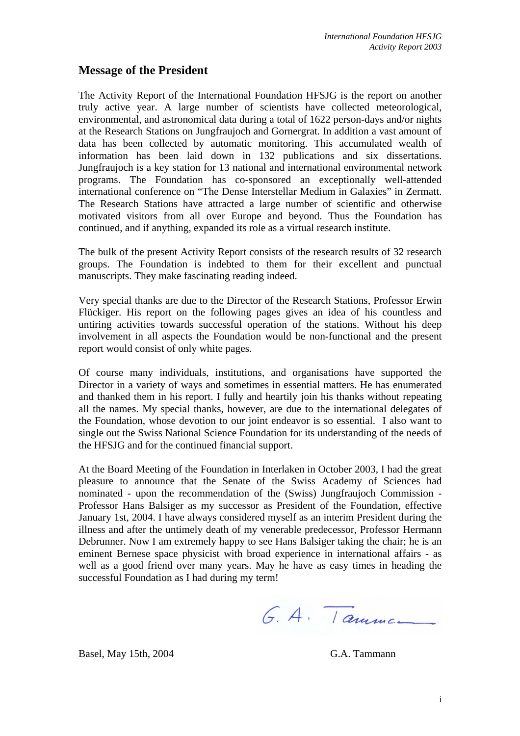## **Message of the President**

The Activity Report of the International Foundation HFSJG is the report on another truly active year. A large number of scientists have collected meteorological, environmental, and astronomical data during a total of 1622 person-days and/or nights at the Research Stations on Jungfraujoch and Gornergrat. In addition a vast amount of data has been collected by automatic monitoring. This accumulated wealth of information has been laid down in 132 publications and six dissertations. Jungfraujoch is a key station for 13 national and international environmental network programs. The Foundation has co-sponsored an exceptionally well-attended international conference on "The Dense Interstellar Medium in Galaxies" in Zermatt. The Research Stations have attracted a large number of scientific and otherwise motivated visitors from all over Europe and beyond. Thus the Foundation has continued, and if anything, expanded its role as a virtual research institute.

The bulk of the present Activity Report consists of the research results of 32 research groups. The Foundation is indebted to them for their excellent and punctual manuscripts. They make fascinating reading indeed.

Very special thanks are due to the Director of the Research Stations, Professor Erwin Flückiger. His report on the following pages gives an idea of his countless and untiring activities towards successful operation of the stations. Without his deep involvement in all aspects the Foundation would be non-functional and the present report would consist of only white pages.

Of course many individuals, institutions, and organisations have supported the Director in a variety of ways and sometimes in essential matters. He has enumerated and thanked them in his report. I fully and heartily join his thanks without repeating all the names. My special thanks, however, are due to the international delegates of the Foundation, whose devotion to our joint endeavor is so essential. I also want to single out the Swiss National Science Foundation for its understanding of the needs of the HFSJG and for the continued financial support.

At the Board Meeting of the Foundation in Interlaken in October 2003, I had the great pleasure to announce that the Senate of the Swiss Academy of Sciences had nominated - upon the recommendation of the (Swiss) Jungfraujoch Commission - Professor Hans Balsiger as my successor as President of the Foundation, effective January 1st, 2004. I have always considered myself as an interim President during the illness and after the untimely death of my venerable predecessor, Professor Hermann Debrunner. Now I am extremely happy to see Hans Balsiger taking the chair; he is an eminent Bernese space physicist with broad experience in international affairs - as well as a good friend over many years. May he have as easy times in heading the successful Foundation as I had during my term!

G. A. Tanne

Basel, May 15th, 2004 G.A. Tammann